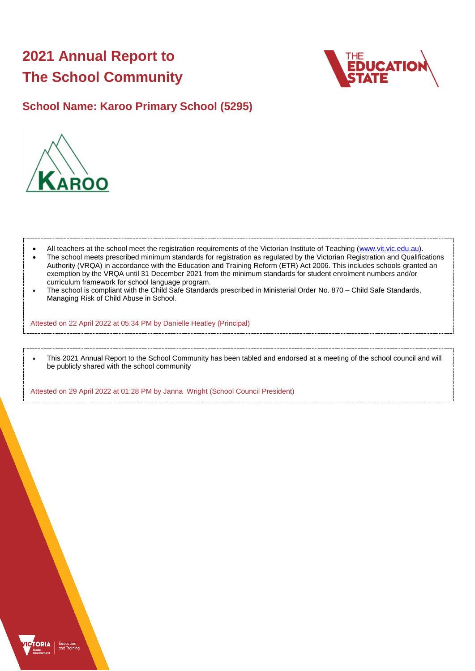# **2021 Annual Report to The School Community**



## **School Name: Karoo Primary School (5295)**



- All teachers at the school meet the registration requirements of the Victorian Institute of Teaching [\(www.vit.vic.edu.au\)](https://www.vit.vic.edu.au/).
- The school meets prescribed minimum standards for registration as regulated by the Victorian Registration and Qualifications Authority (VRQA) in accordance with the Education and Training Reform (ETR) Act 2006. This includes schools granted an exemption by the VRQA until 31 December 2021 from the minimum standards for student enrolment numbers and/or curriculum framework for school language program.
- The school is compliant with the Child Safe Standards prescribed in Ministerial Order No. 870 Child Safe Standards, Managing Risk of Child Abuse in School.

Attested on 22 April 2022 at 05:34 PM by Danielle Heatley (Principal)

• This 2021 Annual Report to the School Community has been tabled and endorsed at a meeting of the school council and will be publicly shared with the school community

Attested on 29 April 2022 at 01:28 PM by Janna Wright (School Council President)

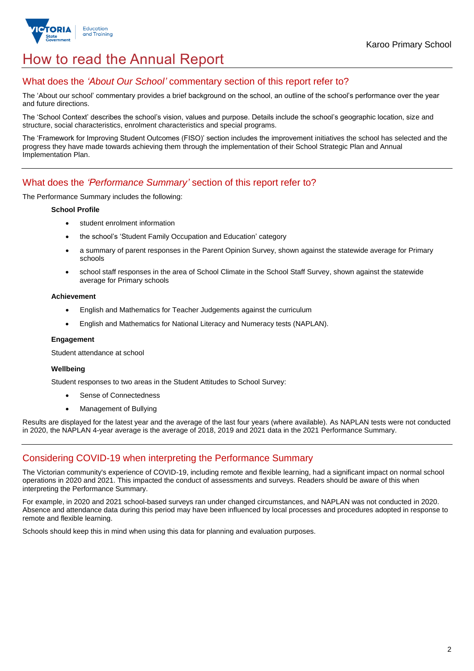

## How to read the Annual Report

## What does the *'About Our School'* commentary section of this report refer to?

The 'About our school' commentary provides a brief background on the school, an outline of the school's performance over the year and future directions.

The 'School Context' describes the school's vision, values and purpose. Details include the school's geographic location, size and structure, social characteristics, enrolment characteristics and special programs.

The 'Framework for Improving Student Outcomes (FISO)' section includes the improvement initiatives the school has selected and the progress they have made towards achieving them through the implementation of their School Strategic Plan and Annual Implementation Plan.

### What does the *'Performance Summary'* section of this report refer to?

The Performance Summary includes the following:

#### **School Profile**

- student enrolment information
- the school's 'Student Family Occupation and Education' category
- a summary of parent responses in the Parent Opinion Survey, shown against the statewide average for Primary schools
- school staff responses in the area of School Climate in the School Staff Survey, shown against the statewide average for Primary schools

#### **Achievement**

- English and Mathematics for Teacher Judgements against the curriculum
- English and Mathematics for National Literacy and Numeracy tests (NAPLAN).

#### **Engagement**

Student attendance at school

#### **Wellbeing**

Student responses to two areas in the Student Attitudes to School Survey:

- Sense of Connectedness
- Management of Bullying

Results are displayed for the latest year and the average of the last four years (where available). As NAPLAN tests were not conducted in 2020, the NAPLAN 4-year average is the average of 2018, 2019 and 2021 data in the 2021 Performance Summary.

## Considering COVID-19 when interpreting the Performance Summary

The Victorian community's experience of COVID-19, including remote and flexible learning, had a significant impact on normal school operations in 2020 and 2021. This impacted the conduct of assessments and surveys. Readers should be aware of this when interpreting the Performance Summary.

For example, in 2020 and 2021 school-based surveys ran under changed circumstances, and NAPLAN was not conducted in 2020. Absence and attendance data during this period may have been influenced by local processes and procedures adopted in response to remote and flexible learning.

Schools should keep this in mind when using this data for planning and evaluation purposes.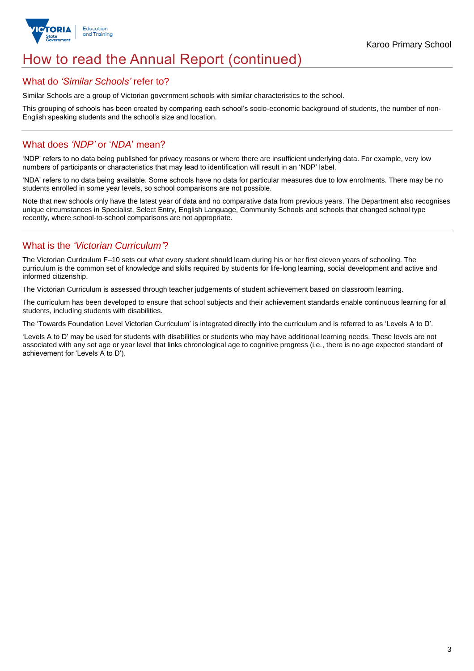

## How to read the Annual Report (continued)

### What do *'Similar Schools'* refer to?

Similar Schools are a group of Victorian government schools with similar characteristics to the school.

This grouping of schools has been created by comparing each school's socio-economic background of students, the number of non-English speaking students and the school's size and location.

## What does *'NDP'* or '*NDA*' mean?

'NDP' refers to no data being published for privacy reasons or where there are insufficient underlying data. For example, very low numbers of participants or characteristics that may lead to identification will result in an 'NDP' label.

'NDA' refers to no data being available. Some schools have no data for particular measures due to low enrolments. There may be no students enrolled in some year levels, so school comparisons are not possible.

Note that new schools only have the latest year of data and no comparative data from previous years. The Department also recognises unique circumstances in Specialist, Select Entry, English Language, Community Schools and schools that changed school type recently, where school-to-school comparisons are not appropriate.

## What is the *'Victorian Curriculum'*?

The Victorian Curriculum F–10 sets out what every student should learn during his or her first eleven years of schooling. The curriculum is the common set of knowledge and skills required by students for life-long learning, social development and active and informed citizenship.

The Victorian Curriculum is assessed through teacher judgements of student achievement based on classroom learning.

The curriculum has been developed to ensure that school subjects and their achievement standards enable continuous learning for all students, including students with disabilities.

The 'Towards Foundation Level Victorian Curriculum' is integrated directly into the curriculum and is referred to as 'Levels A to D'.

'Levels A to D' may be used for students with disabilities or students who may have additional learning needs. These levels are not associated with any set age or year level that links chronological age to cognitive progress (i.e., there is no age expected standard of achievement for 'Levels A to D').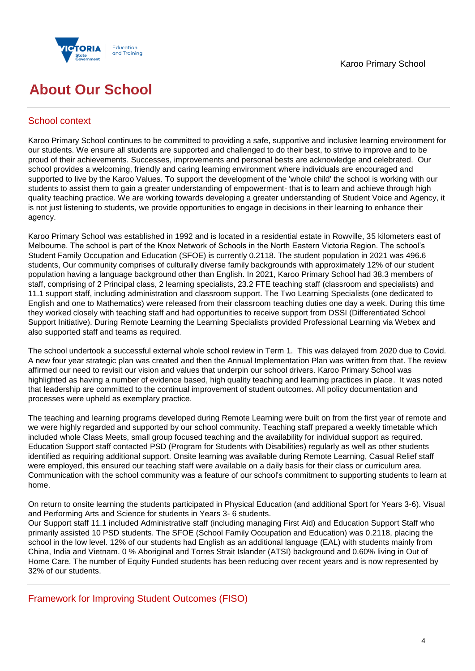

## **About Our School**

## School context

Karoo Primary School continues to be committed to providing a safe, supportive and inclusive learning environment for our students. We ensure all students are supported and challenged to do their best, to strive to improve and to be proud of their achievements. Successes, improvements and personal bests are acknowledge and celebrated. Our school provides a welcoming, friendly and caring learning environment where individuals are encouraged and supported to live by the Karoo Values. To support the development of the 'whole child' the school is working with our students to assist them to gain a greater understanding of empowerment- that is to learn and achieve through high quality teaching practice. We are working towards developing a greater understanding of Student Voice and Agency, it is not just listening to students, we provide opportunities to engage in decisions in their learning to enhance their agency.

Karoo Primary School was established in 1992 and is located in a residential estate in Rowville, 35 kilometers east of Melbourne. The school is part of the Knox Network of Schools in the North Eastern Victoria Region. The school's Student Family Occupation and Education (SFOE) is currently 0.2118. The student population in 2021 was 496.6 students, Our community comprises of culturally diverse family backgrounds with approximately 12% of our student population having a language background other than English. In 2021, Karoo Primary School had 38.3 members of staff, comprising of 2 Principal class, 2 learning specialists, 23.2 FTE teaching staff (classroom and specialists) and 11.1 support staff, including administration and classroom support. The Two Learning Specialists (one dedicated to English and one to Mathematics) were released from their classroom teaching duties one day a week. During this time they worked closely with teaching staff and had opportunities to receive support from DSSI (Differentiated School Support Initiative). During Remote Learning the Learning Specialists provided Professional Learning via Webex and also supported staff and teams as required.

The school undertook a successful external whole school review in Term 1. This was delayed from 2020 due to Covid. A new four year strategic plan was created and then the Annual Implementation Plan was written from that. The review affirmed our need to revisit our vision and values that underpin our school drivers. Karoo Primary School was highlighted as having a number of evidence based, high quality teaching and learning practices in place. It was noted that leadership are committed to the continual improvement of student outcomes. All policy documentation and processes were upheld as exemplary practice.

The teaching and learning programs developed during Remote Learning were built on from the first year of remote and we were highly regarded and supported by our school community. Teaching staff prepared a weekly timetable which included whole Class Meets, small group focused teaching and the availability for individual support as required. Education Support staff contacted PSD (Program for Students with Disabilities) regularly as well as other students identified as requiring additional support. Onsite learning was available during Remote Learning, Casual Relief staff were employed, this ensured our teaching staff were available on a daily basis for their class or curriculum area. Communication with the school community was a feature of our school's commitment to supporting students to learn at home.

On return to onsite learning the students participated in Physical Education (and additional Sport for Years 3-6). Visual and Performing Arts and Science for students in Years 3- 6 students.

Our Support staff 11.1 included Administrative staff (including managing First Aid) and Education Support Staff who primarily assisted 10 PSD students. The SFOE (School Family Occupation and Education) was 0.2118, placing the school in the low level. 12% of our students had English as an additional language (EAL) with students mainly from China, India and Vietnam. 0 % Aboriginal and Torres Strait Islander (ATSI) background and 0.60% living in Out of Home Care. The number of Equity Funded students has been reducing over recent years and is now represented by 32% of our students.

Framework for Improving Student Outcomes (FISO)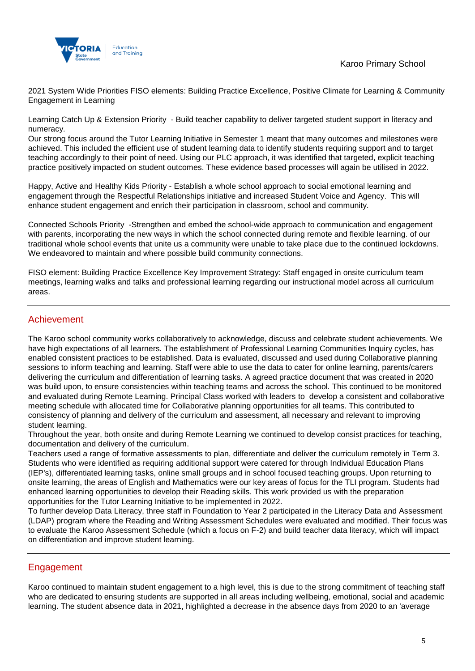

2021 System Wide Priorities FISO elements: Building Practice Excellence, Positive Climate for Learning & Community Engagement in Learning

Learning Catch Up & Extension Priority - Build teacher capability to deliver targeted student support in literacy and numeracy.

Our strong focus around the Tutor Learning Initiative in Semester 1 meant that many outcomes and milestones were achieved. This included the efficient use of student learning data to identify students requiring support and to target teaching accordingly to their point of need. Using our PLC approach, it was identified that targeted, explicit teaching practice positively impacted on student outcomes. These evidence based processes will again be utilised in 2022.

Happy, Active and Healthy Kids Priority - Establish a whole school approach to social emotional learning and engagement through the Respectful Relationships initiative and increased Student Voice and Agency. This will enhance student engagement and enrich their participation in classroom, school and community.

Connected Schools Priority -Strengthen and embed the school-wide approach to communication and engagement with parents, incorporating the new ways in which the school connected during remote and flexible learning. of our traditional whole school events that unite us a community were unable to take place due to the continued lockdowns. We endeavored to maintain and where possible build community connections.

FISO element: Building Practice Excellence Key Improvement Strategy: Staff engaged in onsite curriculum team meetings, learning walks and talks and professional learning regarding our instructional model across all curriculum areas.

### Achievement

The Karoo school community works collaboratively to acknowledge, discuss and celebrate student achievements. We have high expectations of all learners. The establishment of Professional Learning Communities Inquiry cycles, has enabled consistent practices to be established. Data is evaluated, discussed and used during Collaborative planning sessions to inform teaching and learning. Staff were able to use the data to cater for online learning, parents/carers delivering the curriculum and differentiation of learning tasks. A agreed practice document that was created in 2020 was build upon, to ensure consistencies within teaching teams and across the school. This continued to be monitored and evaluated during Remote Learning. Principal Class worked with leaders to develop a consistent and collaborative meeting schedule with allocated time for Collaborative planning opportunities for all teams. This contributed to consistency of planning and delivery of the curriculum and assessment, all necessary and relevant to improving student learning.

Throughout the year, both onsite and during Remote Learning we continued to develop consist practices for teaching, documentation and delivery of the curriculum.

Teachers used a range of formative assessments to plan, differentiate and deliver the curriculum remotely in Term 3. Students who were identified as requiring additional support were catered for through Individual Education Plans (IEP's), differentiated learning tasks, online small groups and in school focused teaching groups. Upon returning to onsite learning, the areas of English and Mathematics were our key areas of focus for the TLI program. Students had enhanced learning opportunities to develop their Reading skills. This work provided us with the preparation opportunities for the Tutor Learning Initiative to be implemented in 2022.

To further develop Data Literacy, three staff in Foundation to Year 2 participated in the Literacy Data and Assessment (LDAP) program where the Reading and Writing Assessment Schedules were evaluated and modified. Their focus was to evaluate the Karoo Assessment Schedule (which a focus on F-2) and build teacher data literacy, which will impact on differentiation and improve student learning.

## Engagement

Karoo continued to maintain student engagement to a high level, this is due to the strong commitment of teaching staff who are dedicated to ensuring students are supported in all areas including wellbeing, emotional, social and academic learning. The student absence data in 2021, highlighted a decrease in the absence days from 2020 to an 'average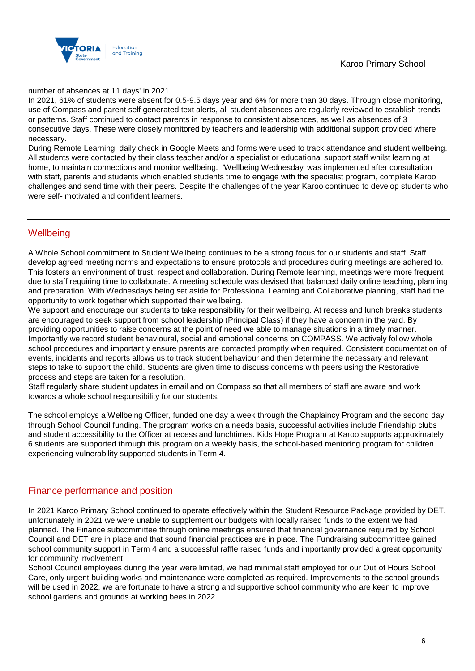

number of absences at 11 days' in 2021.

In 2021, 61% of students were absent for 0.5-9.5 days year and 6% for more than 30 days. Through close monitoring, use of Compass and parent self generated text alerts, all student absences are regularly reviewed to establish trends or patterns. Staff continued to contact parents in response to consistent absences, as well as absences of 3 consecutive days. These were closely monitored by teachers and leadership with additional support provided where necessary.

During Remote Learning, daily check in Google Meets and forms were used to track attendance and student wellbeing. All students were contacted by their class teacher and/or a specialist or educational support staff whilst learning at home, to maintain connections and monitor wellbeing. 'Wellbeing Wednesday' was implemented after consultation with staff, parents and students which enabled students time to engage with the specialist program, complete Karoo challenges and send time with their peers. Despite the challenges of the year Karoo continued to develop students who were self- motivated and confident learners.

## **Wellbeing**

A Whole School commitment to Student Wellbeing continues to be a strong focus for our students and staff. Staff develop agreed meeting norms and expectations to ensure protocols and procedures during meetings are adhered to. This fosters an environment of trust, respect and collaboration. During Remote learning, meetings were more frequent due to staff requiring time to collaborate. A meeting schedule was devised that balanced daily online teaching, planning and preparation. With Wednesdays being set aside for Professional Learning and Collaborative planning, staff had the opportunity to work together which supported their wellbeing.

We support and encourage our students to take responsibility for their wellbeing. At recess and lunch breaks students are encouraged to seek support from school leadership (Principal Class) if they have a concern in the yard. By providing opportunities to raise concerns at the point of need we able to manage situations in a timely manner. Importantly we record student behavioural, social and emotional concerns on COMPASS. We actively follow whole school procedures and importantly ensure parents are contacted promptly when required. Consistent documentation of events, incidents and reports allows us to track student behaviour and then determine the necessary and relevant steps to take to support the child. Students are given time to discuss concerns with peers using the Restorative process and steps are taken for a resolution.

Staff regularly share student updates in email and on Compass so that all members of staff are aware and work towards a whole school responsibility for our students.

The school employs a Wellbeing Officer, funded one day a week through the Chaplaincy Program and the second day through School Council funding. The program works on a needs basis, successful activities include Friendship clubs and student accessibility to the Officer at recess and lunchtimes. Kids Hope Program at Karoo supports approximately 6 students are supported through this program on a weekly basis, the school-based mentoring program for children experiencing vulnerability supported students in Term 4.

### Finance performance and position

In 2021 Karoo Primary School continued to operate effectively within the Student Resource Package provided by DET, unfortunately in 2021 we were unable to supplement our budgets with locally raised funds to the extent we had planned. The Finance subcommittee through online meetings ensured that financial governance required by School Council and DET are in place and that sound financial practices are in place. The Fundraising subcommittee gained school community support in Term 4 and a successful raffle raised funds and importantly provided a great opportunity for community involvement.

School Council employees during the year were limited, we had minimal staff employed for our Out of Hours School Care, only urgent building works and maintenance were completed as required. Improvements to the school grounds will be used in 2022, we are fortunate to have a strong and supportive school community who are keen to improve school gardens and grounds at working bees in 2022.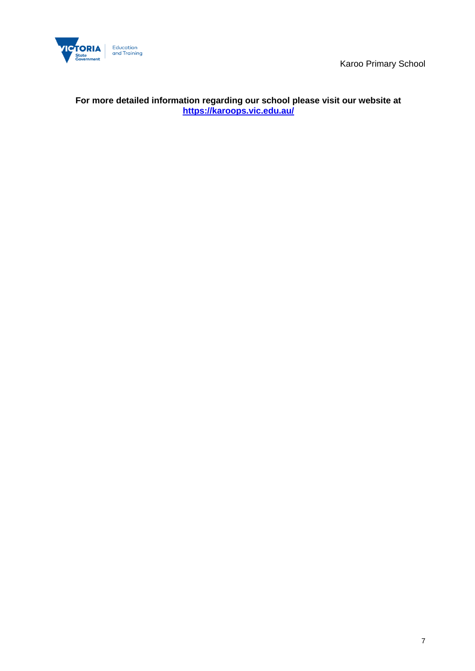

## **For more detailed information regarding our school please visit our website at <https://karoops.vic.edu.au/>**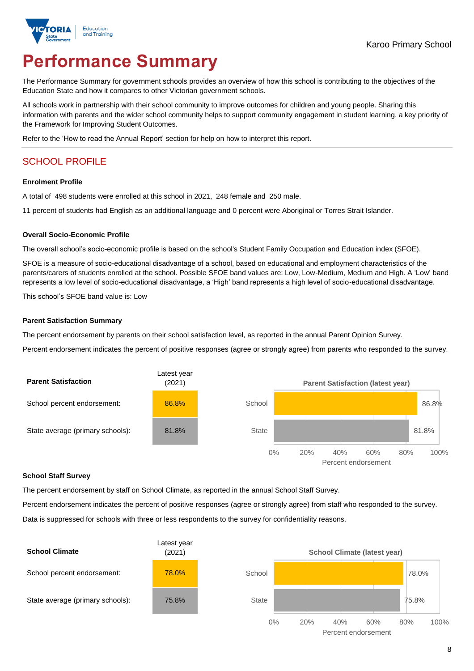

# **Performance Summary**

The Performance Summary for government schools provides an overview of how this school is contributing to the objectives of the Education State and how it compares to other Victorian government schools.

All schools work in partnership with their school community to improve outcomes for children and young people. Sharing this information with parents and the wider school community helps to support community engagement in student learning, a key priority of the Framework for Improving Student Outcomes.

Refer to the 'How to read the Annual Report' section for help on how to interpret this report.

## SCHOOL PROFILE

#### **Enrolment Profile**

A total of 498 students were enrolled at this school in 2021, 248 female and 250 male.

11 percent of students had English as an additional language and 0 percent were Aboriginal or Torres Strait Islander.

#### **Overall Socio-Economic Profile**

The overall school's socio-economic profile is based on the school's Student Family Occupation and Education index (SFOE).

SFOE is a measure of socio-educational disadvantage of a school, based on educational and employment characteristics of the parents/carers of students enrolled at the school. Possible SFOE band values are: Low, Low-Medium, Medium and High. A 'Low' band represents a low level of socio-educational disadvantage, a 'High' band represents a high level of socio-educational disadvantage.

This school's SFOE band value is: Low

#### **Parent Satisfaction Summary**

The percent endorsement by parents on their school satisfaction level, as reported in the annual Parent Opinion Survey.

Percent endorsement indicates the percent of positive responses (agree or strongly agree) from parents who responded to the survey.



#### **School Staff Survey**

The percent endorsement by staff on School Climate, as reported in the annual School Staff Survey.

Percent endorsement indicates the percent of positive responses (agree or strongly agree) from staff who responded to the survey. Data is suppressed for schools with three or less respondents to the survey for confidentiality reasons.

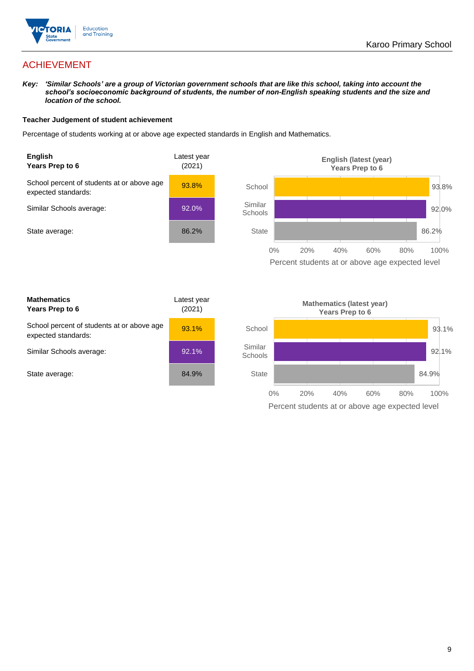

## ACHIEVEMENT

*Key: 'Similar Schools' are a group of Victorian government schools that are like this school, taking into account the school's socioeconomic background of students, the number of non-English speaking students and the size and location of the school.*

#### **Teacher Judgement of student achievement**

Percentage of students working at or above age expected standards in English and Mathematics.





| <b>Mathematics</b><br>Years Prep to 6                             | Latest year<br>(2021) |
|-------------------------------------------------------------------|-----------------------|
| School percent of students at or above age<br>expected standards: | 93.1%                 |
| Similar Schools average:                                          | 92.1%                 |
| State average:                                                    | 84.9%                 |

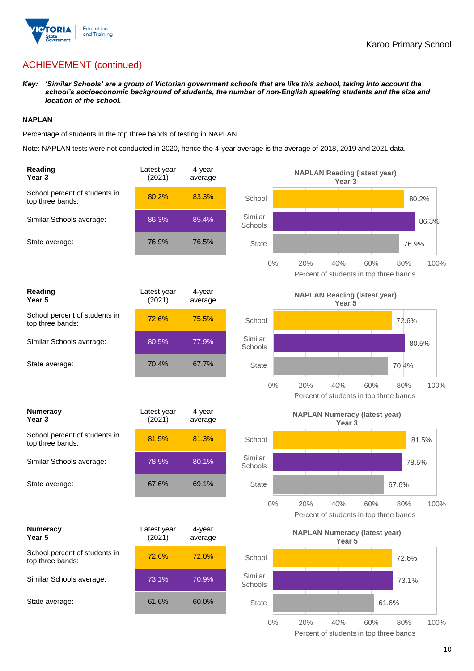

## ACHIEVEMENT (continued)

*Key: 'Similar Schools' are a group of Victorian government schools that are like this school, taking into account the school's socioeconomic background of students, the number of non-English speaking students and the size and location of the school.*

#### **NAPLAN**

Percentage of students in the top three bands of testing in NAPLAN.

Note: NAPLAN tests were not conducted in 2020, hence the 4-year average is the average of 2018, 2019 and 2021 data.

| <b>Reading</b><br>Year <sub>3</sub>               | Latest year<br>(2021) | $4$ -year<br>average |                    | <b>NAPLAN Reading (latest year)</b><br>Year <sub>3</sub>           |       |
|---------------------------------------------------|-----------------------|----------------------|--------------------|--------------------------------------------------------------------|-------|
| School percent of students in<br>top three bands: | 80.2%                 | 83.3%                | School             | 80.2%                                                              |       |
| Similar Schools average:                          | 86.3%                 | 85.4%                | Similar<br>Schools |                                                                    | 86.3% |
| State average:                                    | 76.9%                 | 76.5%                | <b>State</b>       | 76.9%                                                              |       |
|                                                   |                       |                      | $0\%$              | 20%<br>40%<br>60%<br>80%<br>Percent of students in top three bands | 100%  |
| <b>Reading</b><br>Year 5                          | Latest year<br>(2021) | 4-year<br>average    |                    | <b>NAPLAN Reading (latest year)</b><br>Year 5                      |       |
| School percent of students in<br>top three bands: | 72.6%                 | 75.5%                | School             | 72.6%                                                              |       |
| Similar Schools average:                          | 80.5%                 | 77.9%                | Similar<br>Schools | 80.5%                                                              |       |
| State average:                                    | 70.4%                 | 67.7%                | <b>State</b>       | 70.4%                                                              |       |
|                                                   |                       |                      | $0\%$              | 20%<br>40%<br>60%<br>80%<br>Percent of students in top three bands | 100%  |
| <b>Numeracy</b><br>Year <sub>3</sub>              | Latest year<br>(2021) | 4-year<br>average    |                    | <b>NAPLAN Numeracy (latest year)</b><br>Year <sub>3</sub>          |       |
| School percent of students in<br>top three bands: | 81.5%                 | 81.3%                | School             | 81.5%                                                              |       |
| Similar Schools average:                          | 78.5%                 | 80.1%                | Similar<br>Schools | 78.5%                                                              |       |
| State average:                                    | 67.6%                 | 69.1%                | <b>State</b>       | 67.6%                                                              |       |
|                                                   |                       |                      | $0\%$              | 20%<br>40%<br>60%<br>80%<br>Percent of students in top three bands | 100%  |
| <b>Numeracy</b><br>Year 5                         | Latest year<br>(2021) | 4-year<br>average    |                    | <b>NAPLAN Numeracy (latest year)</b><br>Year 5                     |       |
| School percent of students in<br>top three bands: | 72.6%                 | 72.0%                | School             | 72.6%                                                              |       |
| Similar Schools average:                          | 73.1%                 | 70.9%                | Similar<br>Schools | 73.1%                                                              |       |
| State average:                                    | 61.6%                 | 60.0%                | <b>State</b>       | 61.6%                                                              |       |
|                                                   |                       |                      | $0\%$              | 40%<br>20%<br>60%<br>80%                                           | 100%  |

Percent of students in top three bands

10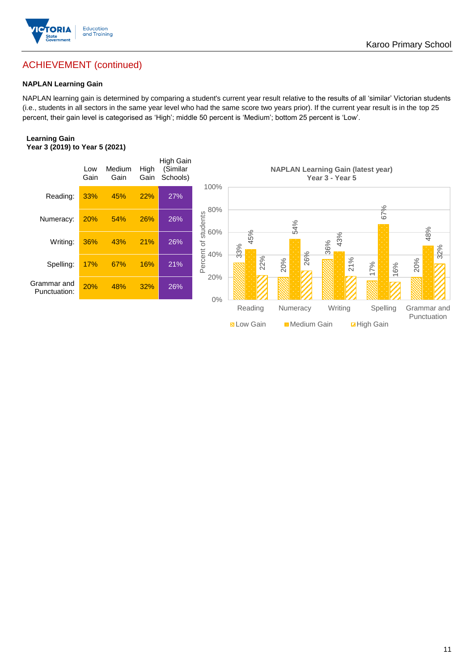

## ACHIEVEMENT (continued)

#### **NAPLAN Learning Gain**

NAPLAN learning gain is determined by comparing a student's current year result relative to the results of all 'similar' Victorian students (i.e., students in all sectors in the same year level who had the same score two years prior). If the current year result is in the top 25 percent, their gain level is categorised as 'High'; middle 50 percent is 'Medium'; bottom 25 percent is 'Low'.

#### **Learning Gain Year 3 (2019) to Year 5 (2021)**

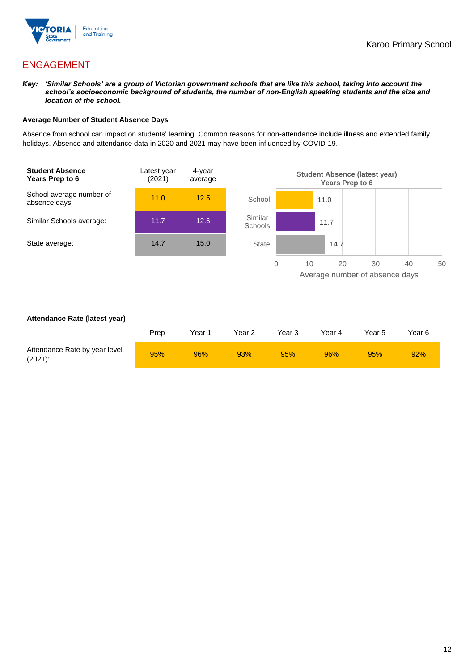

## ENGAGEMENT

*Key: 'Similar Schools' are a group of Victorian government schools that are like this school, taking into account the school's socioeconomic background of students, the number of non-English speaking students and the size and location of the school.*

#### **Average Number of Student Absence Days**

Absence from school can impact on students' learning. Common reasons for non-attendance include illness and extended family holidays. Absence and attendance data in 2020 and 2021 may have been influenced by COVID-19.



#### **Attendance Rate (latest year)**

|                                             | Prep | Year 1 | Year 2 | Year 3 | Year 4 | Year 5 | Year 6 |
|---------------------------------------------|------|--------|--------|--------|--------|--------|--------|
| Attendance Rate by year level<br>$(2021)$ : | 95%  | 96%    | 93%    | 95%    | 96%    | 95%    | 92%    |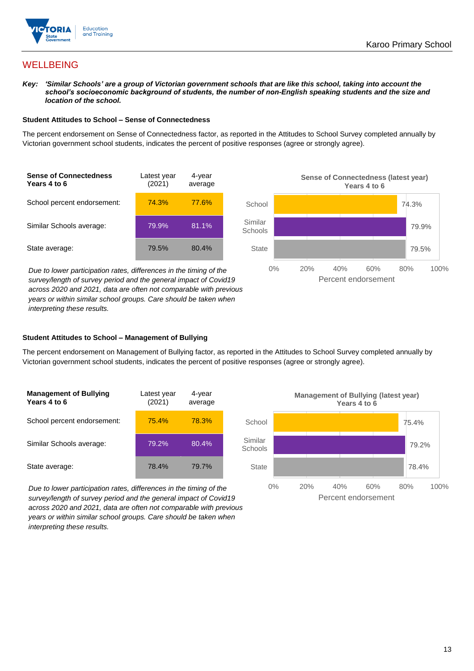

## **WELLBEING**

*Key: 'Similar Schools' are a group of Victorian government schools that are like this school, taking into account the school's socioeconomic background of students, the number of non-English speaking students and the size and location of the school.*

#### **Student Attitudes to School – Sense of Connectedness**

The percent endorsement on Sense of Connectedness factor, as reported in the Attitudes to School Survey completed annually by Victorian government school students, indicates the percent of positive responses (agree or strongly agree).

| <b>Sense of Connectedness</b><br>Years 4 to 6 | Latest year<br>(2021) | 4-year<br>average |  |
|-----------------------------------------------|-----------------------|-------------------|--|
| School percent endorsement:                   | 74.3%                 | 77.6%             |  |
| Similar Schools average:                      | 79.9%                 | 81.1%             |  |
| State average:                                | 79.5%                 | 80.4%             |  |

*Due to lower participation rates, differences in the timing of the survey/length of survey period and the general impact of Covid19 across 2020 and 2021, data are often not comparable with previous years or within similar school groups. Care should be taken when interpreting these results.*



#### **Student Attitudes to School – Management of Bullying**

The percent endorsement on Management of Bullying factor, as reported in the Attitudes to School Survey completed annually by Victorian government school students, indicates the percent of positive responses (agree or strongly agree).

| <b>Management of Bullying</b><br>Years 4 to 6 | Latest year<br>(2021) | 4-year<br>average |  |
|-----------------------------------------------|-----------------------|-------------------|--|
| School percent endorsement:                   | 75.4%                 | 78.3%             |  |
| Similar Schools average:                      | 79.2%                 | 80.4%             |  |
| State average:                                | 78.4%                 | 79.7%             |  |

*Due to lower participation rates, differences in the timing of the survey/length of survey period and the general impact of Covid19 across 2020 and 2021, data are often not comparable with previous years or within similar school groups. Care should be taken when interpreting these results.*

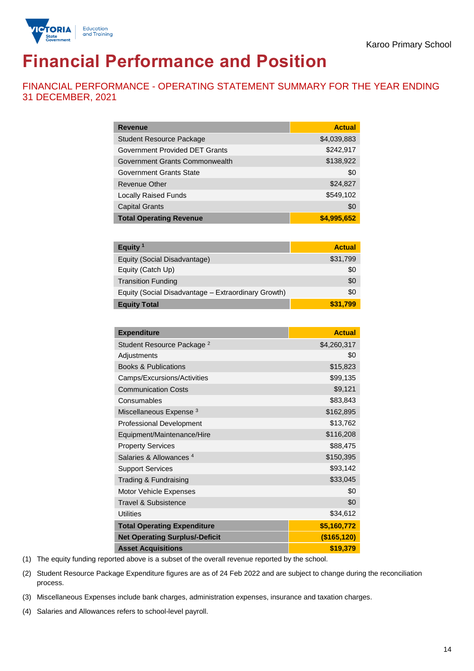

# **Financial Performance and Position**

FINANCIAL PERFORMANCE - OPERATING STATEMENT SUMMARY FOR THE YEAR ENDING 31 DECEMBER, 2021

| <b>Revenue</b>                  | <b>Actual</b> |
|---------------------------------|---------------|
| <b>Student Resource Package</b> | \$4,039,883   |
| Government Provided DET Grants  | \$242,917     |
| Government Grants Commonwealth  | \$138,922     |
| <b>Government Grants State</b>  | \$0           |
| <b>Revenue Other</b>            | \$24,827      |
| <b>Locally Raised Funds</b>     | \$549,102     |
| <b>Capital Grants</b>           | \$0           |
| <b>Total Operating Revenue</b>  | \$4,995,652   |

| Equity <sup>1</sup>                                 | <b>Actual</b> |
|-----------------------------------------------------|---------------|
| Equity (Social Disadvantage)                        | \$31,799      |
| Equity (Catch Up)                                   | \$0           |
| <b>Transition Funding</b>                           | \$0           |
| Equity (Social Disadvantage - Extraordinary Growth) | \$0           |
| <b>Equity Total</b>                                 | \$31,799      |

| <b>Expenditure</b>                    | <b>Actual</b> |
|---------------------------------------|---------------|
| Student Resource Package <sup>2</sup> | \$4,260,317   |
| Adjustments                           | \$0           |
| <b>Books &amp; Publications</b>       | \$15,823      |
| Camps/Excursions/Activities           | \$99,135      |
| <b>Communication Costs</b>            | \$9,121       |
| Consumables                           | \$83,843      |
| Miscellaneous Expense <sup>3</sup>    | \$162,895     |
| <b>Professional Development</b>       | \$13,762      |
| Equipment/Maintenance/Hire            | \$116,208     |
| <b>Property Services</b>              | \$88,475      |
| Salaries & Allowances <sup>4</sup>    | \$150,395     |
| <b>Support Services</b>               | \$93,142      |
| Trading & Fundraising                 | \$33,045      |
| Motor Vehicle Expenses                | \$0           |
| Travel & Subsistence                  | \$0           |
| <b>Utilities</b>                      | \$34,612      |
| <b>Total Operating Expenditure</b>    | \$5,160,772   |
| <b>Net Operating Surplus/-Deficit</b> | (\$165, 120)  |
| <b>Asset Acquisitions</b>             | \$19,379      |

(1) The equity funding reported above is a subset of the overall revenue reported by the school.

(2) Student Resource Package Expenditure figures are as of 24 Feb 2022 and are subject to change during the reconciliation process.

(3) Miscellaneous Expenses include bank charges, administration expenses, insurance and taxation charges.

(4) Salaries and Allowances refers to school-level payroll.